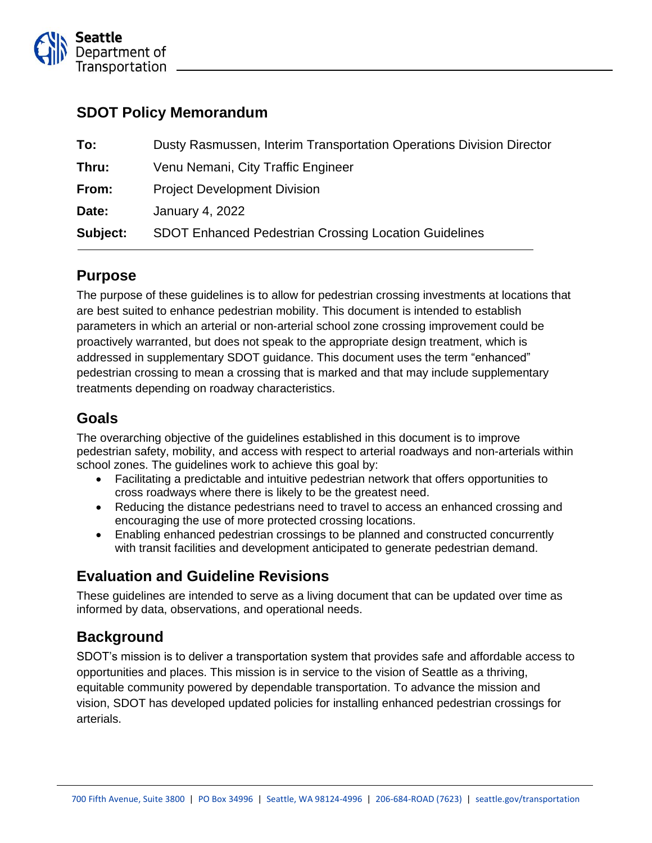

### **SDOT Policy Memorandum**

| To:      | Dusty Rasmussen, Interim Transportation Operations Division Director |
|----------|----------------------------------------------------------------------|
| Thru:    | Venu Nemani, City Traffic Engineer                                   |
| From:    | <b>Project Development Division</b>                                  |
| Date:    | January 4, 2022                                                      |
| Subject: | <b>SDOT Enhanced Pedestrian Crossing Location Guidelines</b>         |

## **Purpose**

The purpose of these guidelines is to allow for pedestrian crossing investments at locations that are best suited to enhance pedestrian mobility. This document is intended to establish parameters in which an arterial or non-arterial school zone crossing improvement could be proactively warranted, but does not speak to the appropriate design treatment, which is addressed in supplementary SDOT guidance. This document uses the term "enhanced" pedestrian crossing to mean a crossing that is marked and that may include supplementary treatments depending on roadway characteristics.

## **Goals**

The overarching objective of the guidelines established in this document is to improve pedestrian safety, mobility, and access with respect to arterial roadways and non-arterials within school zones. The guidelines work to achieve this goal by:

- Facilitating a predictable and intuitive pedestrian network that offers opportunities to cross roadways where there is likely to be the greatest need.
- Reducing the distance pedestrians need to travel to access an enhanced crossing and encouraging the use of more protected crossing locations.
- Enabling enhanced pedestrian crossings to be planned and constructed concurrently with transit facilities and development anticipated to generate pedestrian demand.

## **Evaluation and Guideline Revisions**

These guidelines are intended to serve as a living document that can be updated over time as informed by data, observations, and operational needs.

# **Background**

SDOT's mission is to deliver a transportation system that provides safe and affordable access to opportunities and places. This mission is in service to the vision of Seattle as a thriving, equitable community powered by dependable transportation. To advance the mission and vision, SDOT has developed updated policies for installing enhanced pedestrian crossings for arterials.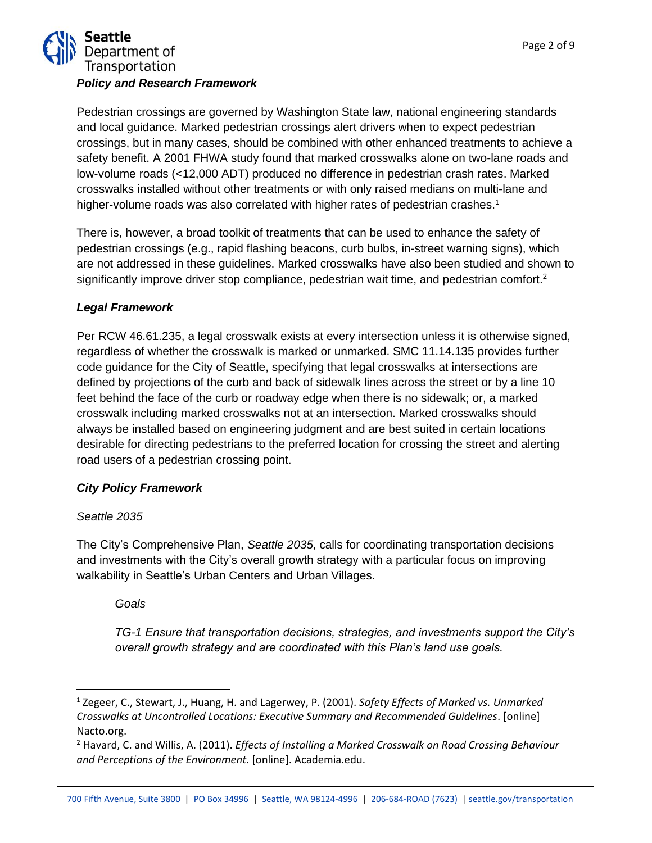

#### *Policy and Research Framework*

Pedestrian crossings are governed by Washington State law, national engineering standards and local guidance. Marked pedestrian crossings alert drivers when to expect pedestrian crossings, but in many cases, should be combined with other enhanced treatments to achieve a safety benefit. A 2001 FHWA study found that marked crosswalks alone on two-lane roads and low-volume roads (<12,000 ADT) produced no difference in pedestrian crash rates. Marked crosswalks installed without other treatments or with only raised medians on multi-lane and higher-volume roads was also correlated with higher rates of pedestrian crashes.<sup>1</sup>

There is, however, a broad toolkit of treatments that can be used to enhance the safety of pedestrian crossings (e.g., rapid flashing beacons, curb bulbs, in-street warning signs), which are not addressed in these guidelines. Marked crosswalks have also been studied and shown to significantly improve driver stop compliance, pedestrian wait time, and pedestrian comfort.<sup>2</sup>

#### *Legal Framework*

Per RCW 46.61.235, a legal crosswalk exists at every intersection unless it is otherwise signed, regardless of whether the crosswalk is marked or unmarked. SMC 11.14.135 provides further code guidance for the City of Seattle, specifying that legal crosswalks at intersections are defined by projections of the curb and back of sidewalk lines across the street or by a line 10 feet behind the face of the curb or roadway edge when there is no sidewalk; or, a marked crosswalk including marked crosswalks not at an intersection. Marked crosswalks should always be installed based on engineering judgment and are best suited in certain locations desirable for directing pedestrians to the preferred location for crossing the street and alerting road users of a pedestrian crossing point.

### *City Policy Framework*

#### *Seattle 2035*

The City's Comprehensive Plan, *Seattle 2035*, calls for coordinating transportation decisions and investments with the City's overall growth strategy with a particular focus on improving walkability in Seattle's Urban Centers and Urban Villages.

*Goals*

*TG-1 Ensure that transportation decisions, strategies, and investments support the City's overall growth strategy and are coordinated with this Plan's land use goals.*

<sup>1</sup> Zegeer, C., Stewart, J., Huang, H. and Lagerwey, P. (2001). *Safety Effects of Marked vs. Unmarked Crosswalks at Uncontrolled Locations: Executive Summary and Recommended Guidelines*. [online] Nacto.org.

<sup>2</sup> Havard, C. and Willis, A. (2011). *Effects of Installing a Marked Crosswalk on Road Crossing Behaviour and Perceptions of the Environment.* [online]. Academia.edu.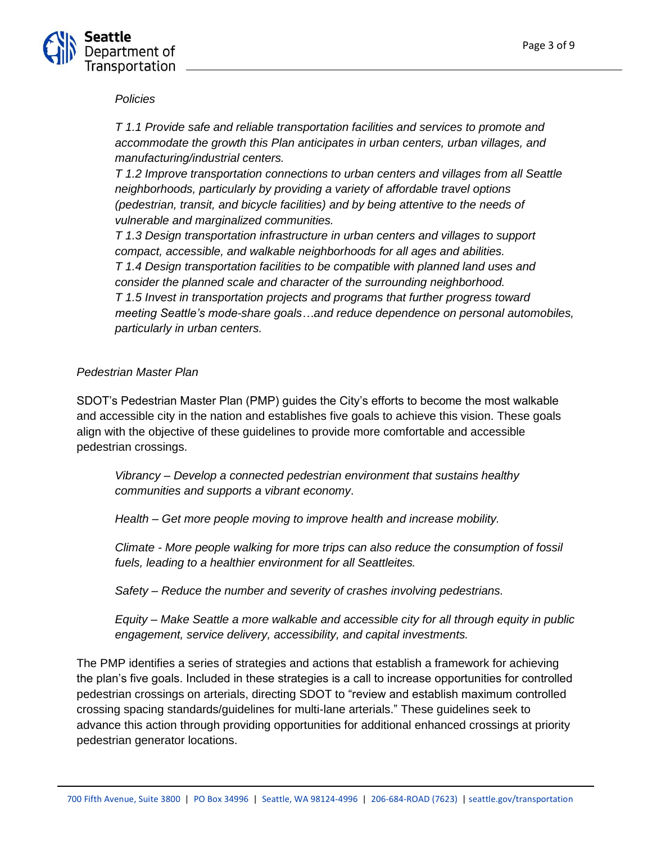

#### *Policies*

*T 1.1 Provide safe and reliable transportation facilities and services to promote and accommodate the growth this Plan anticipates in urban centers, urban villages, and manufacturing/industrial centers.*

*T 1.2 Improve transportation connections to urban centers and villages from all Seattle neighborhoods, particularly by providing a variety of affordable travel options (pedestrian, transit, and bicycle facilities) and by being attentive to the needs of vulnerable and marginalized communities.*

*T 1.3 Design transportation infrastructure in urban centers and villages to support compact, accessible, and walkable neighborhoods for all ages and abilities. T 1.4 Design transportation facilities to be compatible with planned land uses and consider the planned scale and character of the surrounding neighborhood. T 1.5 Invest in transportation projects and programs that further progress toward meeting Seattle's mode-share goals…and reduce dependence on personal automobiles, particularly in urban centers.*

#### *Pedestrian Master Plan*

SDOT's Pedestrian Master Plan (PMP) guides the City's efforts to become the most walkable and accessible city in the nation and establishes five goals to achieve this vision. These goals align with the objective of these guidelines to provide more comfortable and accessible pedestrian crossings.

*Vibrancy – Develop a connected pedestrian environment that sustains healthy communities and supports a vibrant economy*.

*Health – Get more people moving to improve health and increase mobility.*

*Climate - More people walking for more trips can also reduce the consumption of fossil fuels, leading to a healthier environment for all Seattleites.* 

*Safety – Reduce the number and severity of crashes involving pedestrians.*

*Equity – Make Seattle a more walkable and accessible city for all through equity in public engagement, service delivery, accessibility, and capital investments.*

The PMP identifies a series of strategies and actions that establish a framework for achieving the plan's five goals. Included in these strategies is a call to increase opportunities for controlled pedestrian crossings on arterials, directing SDOT to "review and establish maximum controlled crossing spacing standards/guidelines for multi-lane arterials." These guidelines seek to advance this action through providing opportunities for additional enhanced crossings at priority pedestrian generator locations.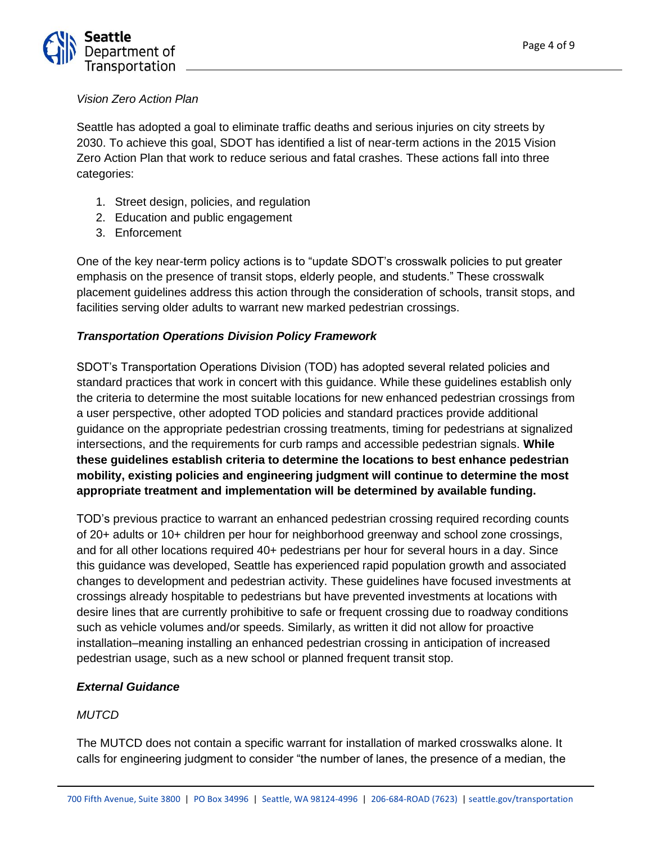

#### *Vision Zero Action Plan*

Seattle has adopted a goal to eliminate traffic deaths and serious injuries on city streets by 2030. To achieve this goal, SDOT has identified a list of near-term actions in the 2015 Vision Zero Action Plan that work to reduce serious and fatal crashes. These actions fall into three categories:

- 1. Street design, policies, and regulation
- 2. Education and public engagement
- 3. Enforcement

One of the key near-term policy actions is to "update SDOT's crosswalk policies to put greater emphasis on the presence of transit stops, elderly people, and students." These crosswalk placement guidelines address this action through the consideration of schools, transit stops, and facilities serving older adults to warrant new marked pedestrian crossings.

#### *Transportation Operations Division Policy Framework*

SDOT's Transportation Operations Division (TOD) has adopted several related policies and standard practices that work in concert with this guidance. While these guidelines establish only the criteria to determine the most suitable locations for new enhanced pedestrian crossings from a user perspective, other adopted TOD policies and standard practices provide additional guidance on the appropriate pedestrian crossing treatments, timing for pedestrians at signalized intersections, and the requirements for curb ramps and accessible pedestrian signals. **While these guidelines establish criteria to determine the locations to best enhance pedestrian mobility, existing policies and engineering judgment will continue to determine the most appropriate treatment and implementation will be determined by available funding.** 

TOD's previous practice to warrant an enhanced pedestrian crossing required recording counts of 20+ adults or 10+ children per hour for neighborhood greenway and school zone crossings, and for all other locations required 40+ pedestrians per hour for several hours in a day. Since this guidance was developed, Seattle has experienced rapid population growth and associated changes to development and pedestrian activity. These guidelines have focused investments at crossings already hospitable to pedestrians but have prevented investments at locations with desire lines that are currently prohibitive to safe or frequent crossing due to roadway conditions such as vehicle volumes and/or speeds. Similarly, as written it did not allow for proactive installation–meaning installing an enhanced pedestrian crossing in anticipation of increased pedestrian usage, such as a new school or planned frequent transit stop.

#### *External Guidance*

#### *MUTCD*

The MUTCD does not contain a specific warrant for installation of marked crosswalks alone. It calls for engineering judgment to consider "the number of lanes, the presence of a median, the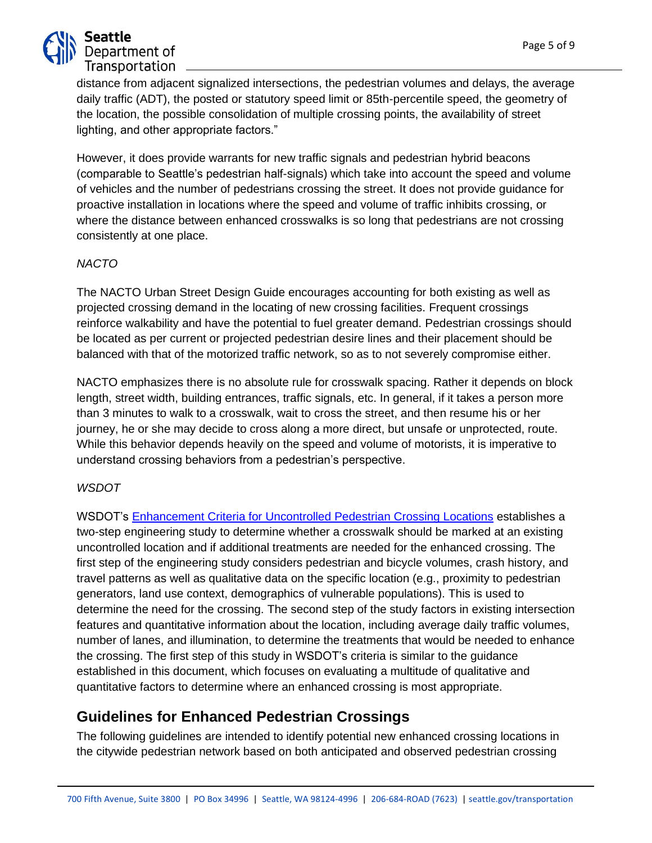

distance from adjacent signalized intersections, the pedestrian volumes and delays, the average daily traffic (ADT), the posted or statutory speed limit or 85th-percentile speed, the geometry of the location, the possible consolidation of multiple crossing points, the availability of street lighting, and other appropriate factors."

However, it does provide warrants for new traffic signals and pedestrian hybrid beacons (comparable to Seattle's pedestrian half-signals) which take into account the speed and volume of vehicles and the number of pedestrians crossing the street. It does not provide guidance for proactive installation in locations where the speed and volume of traffic inhibits crossing, or where the distance between enhanced crosswalks is so long that pedestrians are not crossing consistently at one place.

### *NACTO*

The NACTO Urban Street Design Guide encourages accounting for both existing as well as projected crossing demand in the locating of new crossing facilities. Frequent crossings reinforce walkability and have the potential to fuel greater demand. Pedestrian crossings should be located as per current or projected pedestrian desire lines and their placement should be balanced with that of the motorized traffic network, so as to not severely compromise either.

NACTO emphasizes there is no absolute rule for crosswalk spacing. Rather it depends on block length, street width, building entrances, traffic signals, etc. In general, if it takes a person more than 3 minutes to walk to a crosswalk, wait to cross the street, and then resume his or her journey, he or she may decide to cross along a more direct, but unsafe or unprotected, route. While this behavior depends heavily on the speed and volume of motorists, it is imperative to understand crossing behaviors from a pedestrian's perspective.

### *WSDOT*

WSDOT's [Enhancement Criteria for Uncontrolled Pedestrian Crossing Locations](https://wsdot.wa.gov/sites/default/files/2019/10/16/Uncontrolled_Ped_Crossing_Guidance.pdf) establishes a two-step engineering study to determine whether a crosswalk should be marked at an existing uncontrolled location and if additional treatments are needed for the enhanced crossing. The first step of the engineering study considers pedestrian and bicycle volumes, crash history, and travel patterns as well as qualitative data on the specific location (e.g., proximity to pedestrian generators, land use context, demographics of vulnerable populations). This is used to determine the need for the crossing. The second step of the study factors in existing intersection features and quantitative information about the location, including average daily traffic volumes, number of lanes, and illumination, to determine the treatments that would be needed to enhance the crossing. The first step of this study in WSDOT's criteria is similar to the guidance established in this document, which focuses on evaluating a multitude of qualitative and quantitative factors to determine where an enhanced crossing is most appropriate.

# **Guidelines for Enhanced Pedestrian Crossings**

The following guidelines are intended to identify potential new enhanced crossing locations in the citywide pedestrian network based on both anticipated and observed pedestrian crossing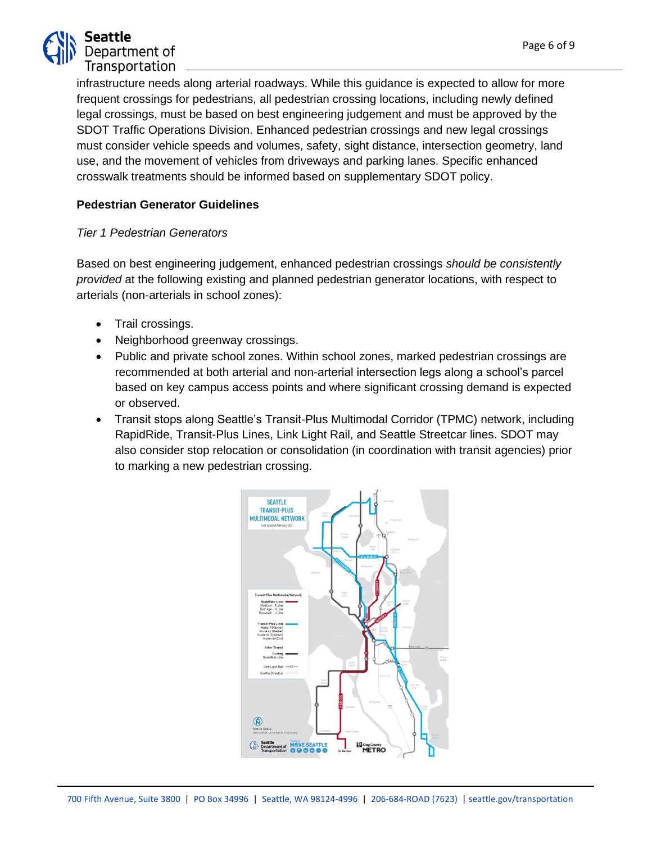

infrastructure needs along arterial roadways. While this guidance is expected to allow for more frequent crossings for pedestrians, all pedestrian crossing locations, including newly defined legal crossings, must be based on best engineering judgement and must be approved by the SDOT Traffic Operations Division. Enhanced pedestrian crossings and new legal crossings must consider vehicle speeds and volumes, safety, sight distance, intersection geometry, land use, and the movement of vehicles from driveways and parking lanes. Specific enhanced crosswalk treatments should be informed based on supplementary SDOT policy.

### **Pedestrian Generator Guidelines**

#### *Tier 1 Pedestrian Generators*

Based on best engineering judgement, enhanced pedestrian crossings *should be consistently provided* at the following existing and planned pedestrian generator locations, with respect to arterials (non-arterials in school zones):

- Trail crossings.
- Neighborhood greenway crossings.
- Public and private school zones. Within school zones, marked pedestrian crossings are recommended at both arterial and non-arterial intersection legs along a school's parcel based on key campus access points and where significant crossing demand is expected or observed.
- Transit stops along Seattle's Transit-Plus Multimodal Corridor (TPMC) network, including RapidRide, Transit-Plus Lines, Link Light Rail, and Seattle Streetcar lines. SDOT may also consider stop relocation or consolidation (in coordination with transit agencies) prior to marking a new pedestrian crossing.

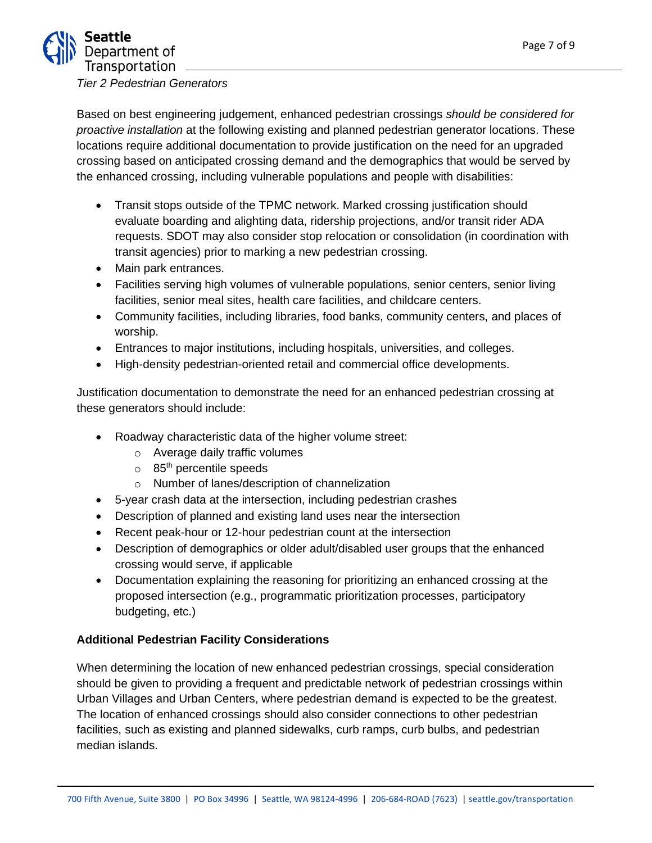

*Tier 2 Pedestrian Generators*

Based on best engineering judgement, enhanced pedestrian crossings *should be considered for proactive installation* at the following existing and planned pedestrian generator locations. These locations require additional documentation to provide justification on the need for an upgraded crossing based on anticipated crossing demand and the demographics that would be served by the enhanced crossing, including vulnerable populations and people with disabilities:

- Transit stops outside of the TPMC network. Marked crossing justification should evaluate boarding and alighting data, ridership projections, and/or transit rider ADA requests. SDOT may also consider stop relocation or consolidation (in coordination with transit agencies) prior to marking a new pedestrian crossing.
- Main park entrances.
- Facilities serving high volumes of vulnerable populations, senior centers, senior living facilities, senior meal sites, health care facilities, and childcare centers.
- Community facilities, including libraries, food banks, community centers, and places of worship.
- Entrances to major institutions, including hospitals, universities, and colleges.
- High-density pedestrian-oriented retail and commercial office developments.

Justification documentation to demonstrate the need for an enhanced pedestrian crossing at these generators should include:

- Roadway characteristic data of the higher volume street:
	- o Average daily traffic volumes
	- $\circ$  85<sup>th</sup> percentile speeds
	- o Number of lanes/description of channelization
- 5-year crash data at the intersection, including pedestrian crashes
- Description of planned and existing land uses near the intersection
- Recent peak-hour or 12-hour pedestrian count at the intersection
- Description of demographics or older adult/disabled user groups that the enhanced crossing would serve, if applicable
- Documentation explaining the reasoning for prioritizing an enhanced crossing at the proposed intersection (e.g., programmatic prioritization processes, participatory budgeting, etc.)

### **Additional Pedestrian Facility Considerations**

When determining the location of new enhanced pedestrian crossings, special consideration should be given to providing a frequent and predictable network of pedestrian crossings within Urban Villages and Urban Centers, where pedestrian demand is expected to be the greatest. The location of enhanced crossings should also consider connections to other pedestrian facilities, such as existing and planned sidewalks, curb ramps, curb bulbs, and pedestrian median islands.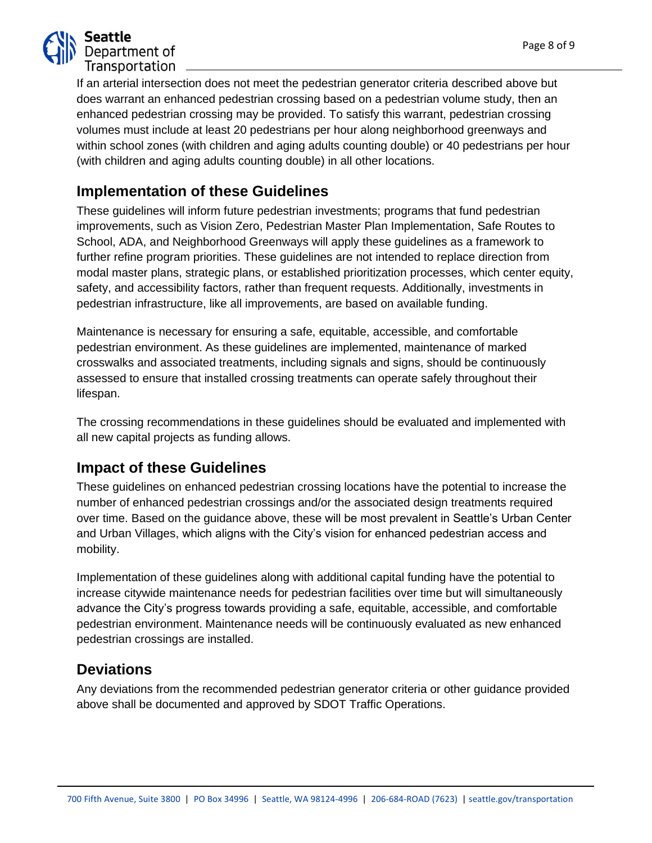

If an arterial intersection does not meet the pedestrian generator criteria described above but does warrant an enhanced pedestrian crossing based on a pedestrian volume study, then an enhanced pedestrian crossing may be provided. To satisfy this warrant, pedestrian crossing volumes must include at least 20 pedestrians per hour along neighborhood greenways and within school zones (with children and aging adults counting double) or 40 pedestrians per hour (with children and aging adults counting double) in all other locations.

## **Implementation of these Guidelines**

These guidelines will inform future pedestrian investments; programs that fund pedestrian improvements, such as Vision Zero, Pedestrian Master Plan Implementation, Safe Routes to School, ADA, and Neighborhood Greenways will apply these guidelines as a framework to further refine program priorities. These guidelines are not intended to replace direction from modal master plans, strategic plans, or established prioritization processes, which center equity, safety, and accessibility factors, rather than frequent requests. Additionally, investments in pedestrian infrastructure, like all improvements, are based on available funding.

Maintenance is necessary for ensuring a safe, equitable, accessible, and comfortable pedestrian environment. As these guidelines are implemented, maintenance of marked crosswalks and associated treatments, including signals and signs, should be continuously assessed to ensure that installed crossing treatments can operate safely throughout their lifespan.

The crossing recommendations in these guidelines should be evaluated and implemented with all new capital projects as funding allows.

## **Impact of these Guidelines**

These guidelines on enhanced pedestrian crossing locations have the potential to increase the number of enhanced pedestrian crossings and/or the associated design treatments required over time. Based on the guidance above, these will be most prevalent in Seattle's Urban Center and Urban Villages, which aligns with the City's vision for enhanced pedestrian access and mobility.

Implementation of these guidelines along with additional capital funding have the potential to increase citywide maintenance needs for pedestrian facilities over time but will simultaneously advance the City's progress towards providing a safe, equitable, accessible, and comfortable pedestrian environment. Maintenance needs will be continuously evaluated as new enhanced pedestrian crossings are installed.

## **Deviations**

Any deviations from the recommended pedestrian generator criteria or other guidance provided above shall be documented and approved by SDOT Traffic Operations.